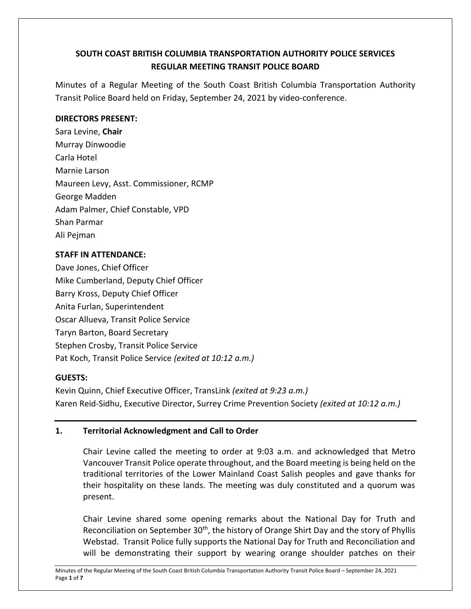# **SOUTH COAST BRITISH COLUMBIA TRANSPORTATION AUTHORITY POLICE SERVICES REGULAR MEETING TRANSIT POLICE BOARD**

Minutes of a Regular Meeting of the South Coast British Columbia Transportation Authority Transit Police Board held on Friday, September 24, 2021 by video-conference.

### **DIRECTORS PRESENT:**

Sara Levine, **Chair** Murray Dinwoodie Carla Hotel Marnie Larson Maureen Levy, Asst. Commissioner, RCMP George Madden Adam Palmer, Chief Constable, VPD Shan Parmar Ali Pejman

### **STAFF IN ATTENDANCE:**

Dave Jones, Chief Officer Mike Cumberland, Deputy Chief Officer Barry Kross, Deputy Chief Officer Anita Furlan, Superintendent Oscar Allueva, Transit Police Service Taryn Barton, Board Secretary Stephen Crosby, Transit Police Service Pat Koch, Transit Police Service *(exited at 10:12 a.m.)*

## **GUESTS:**

Kevin Quinn, Chief Executive Officer, TransLink *(exited at 9:23 a.m.)* Karen Reid-Sidhu, Executive Director, Surrey Crime Prevention Society *(exited at 10:12 a.m.)*

## **1. Territorial Acknowledgment and Call to Order**

Chair Levine called the meeting to order at 9:03 a.m. and acknowledged that Metro Vancouver Transit Police operate throughout, and the Board meeting is being held on the traditional territories of the Lower Mainland Coast Salish peoples and gave thanks for their hospitality on these lands. The meeting was duly constituted and a quorum was present.

Chair Levine shared some opening remarks about the National Day for Truth and Reconciliation on September 30<sup>th</sup>, the history of Orange Shirt Day and the story of Phyllis Webstad. Transit Police fully supports the National Day for Truth and Reconciliation and will be demonstrating their support by wearing orange shoulder patches on their

Minutes of the Regular Meeting of the South Coast British Columbia Transportation Authority Transit Police Board – September 24, 2021 Page **1** of **7**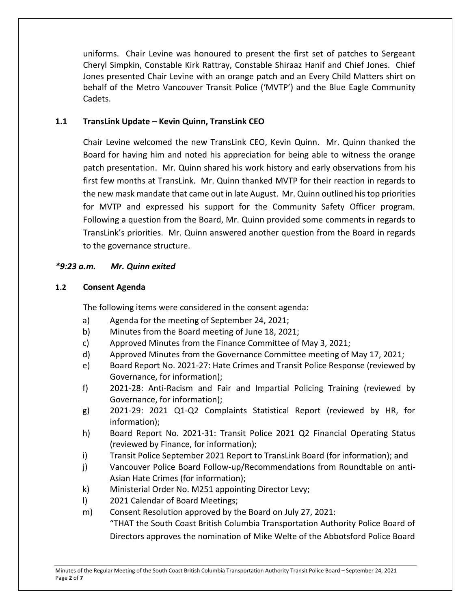uniforms. Chair Levine was honoured to present the first set of patches to Sergeant Cheryl Simpkin, Constable Kirk Rattray, Constable Shiraaz Hanif and Chief Jones. Chief Jones presented Chair Levine with an orange patch and an Every Child Matters shirt on behalf of the Metro Vancouver Transit Police ('MVTP') and the Blue Eagle Community Cadets.

### **1.1 TransLink Update – Kevin Quinn, TransLink CEO**

Chair Levine welcomed the new TransLink CEO, Kevin Quinn. Mr. Quinn thanked the Board for having him and noted his appreciation for being able to witness the orange patch presentation. Mr. Quinn shared his work history and early observations from his first few months at TransLink. Mr. Quinn thanked MVTP for their reaction in regards to the new mask mandate that came out in late August. Mr. Quinn outlined his top priorities for MVTP and expressed his support for the Community Safety Officer program. Following a question from the Board, Mr. Quinn provided some comments in regards to TransLink's priorities. Mr. Quinn answered another question from the Board in regards to the governance structure.

### *\*9:23 a.m. Mr. Quinn exited*

### **1.2 Consent Agenda**

The following items were considered in the consent agenda:

- a) Agenda for the meeting of September 24, 2021;
- b) Minutes from the Board meeting of June 18, 2021;
- c) Approved Minutes from the Finance Committee of May 3, 2021;
- d) Approved Minutes from the Governance Committee meeting of May 17, 2021;
- e) Board Report No. 2021-27: Hate Crimes and Transit Police Response (reviewed by Governance, for information);
- f) 2021-28: Anti-Racism and Fair and Impartial Policing Training (reviewed by Governance, for information);
- g) 2021-29: 2021 Q1-Q2 Complaints Statistical Report (reviewed by HR, for information);
- h) Board Report No. 2021-31: Transit Police 2021 Q2 Financial Operating Status (reviewed by Finance, for information);
- i) Transit Police September 2021 Report to TransLink Board (for information); and
- j) Vancouver Police Board Follow-up/Recommendations from Roundtable on anti-Asian Hate Crimes (for information);
- k) Ministerial Order No. M251 appointing Director Levy;
- l) 2021 Calendar of Board Meetings;
- m) Consent Resolution approved by the Board on July 27, 2021: "THAT the South Coast British Columbia Transportation Authority Police Board of Directors approves the nomination of Mike Welte of the Abbotsford Police Board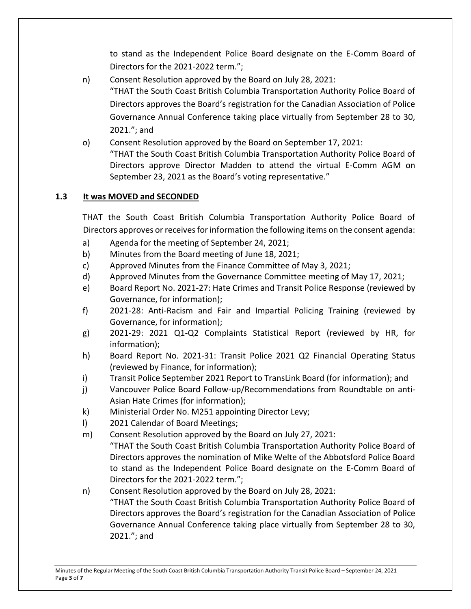to stand as the Independent Police Board designate on the E-Comm Board of Directors for the 2021-2022 term.";

- n) Consent Resolution approved by the Board on July 28, 2021: "THAT the South Coast British Columbia Transportation Authority Police Board of Directors approves the Board's registration for the Canadian Association of Police Governance Annual Conference taking place virtually from September 28 to 30, 2021."; and
- o) Consent Resolution approved by the Board on September 17, 2021: "THAT the South Coast British Columbia Transportation Authority Police Board of Directors approve Director Madden to attend the virtual E-Comm AGM on September 23, 2021 as the Board's voting representative."

### **1.3 It was MOVED and SECONDED**

THAT the South Coast British Columbia Transportation Authority Police Board of Directors approves or receives for information the following items on the consent agenda:

- a) Agenda for the meeting of September 24, 2021;
- b) Minutes from the Board meeting of June 18, 2021;
- c) Approved Minutes from the Finance Committee of May 3, 2021;
- d) Approved Minutes from the Governance Committee meeting of May 17, 2021;
- e) Board Report No. 2021-27: Hate Crimes and Transit Police Response (reviewed by Governance, for information);
- f) 2021-28: Anti-Racism and Fair and Impartial Policing Training (reviewed by Governance, for information);
- g) 2021-29: 2021 Q1-Q2 Complaints Statistical Report (reviewed by HR, for information);
- h) Board Report No. 2021-31: Transit Police 2021 Q2 Financial Operating Status (reviewed by Finance, for information);
- i) Transit Police September 2021 Report to TransLink Board (for information); and
- j) Vancouver Police Board Follow-up/Recommendations from Roundtable on anti-Asian Hate Crimes (for information);
- k) Ministerial Order No. M251 appointing Director Levy;
- l) 2021 Calendar of Board Meetings;
- m) Consent Resolution approved by the Board on July 27, 2021: "THAT the South Coast British Columbia Transportation Authority Police Board of
	- Directors approves the nomination of Mike Welte of the Abbotsford Police Board to stand as the Independent Police Board designate on the E-Comm Board of Directors for the 2021-2022 term.";
- n) Consent Resolution approved by the Board on July 28, 2021: "THAT the South Coast British Columbia Transportation Authority Police Board of Directors approves the Board's registration for the Canadian Association of Police Governance Annual Conference taking place virtually from September 28 to 30, 2021."; and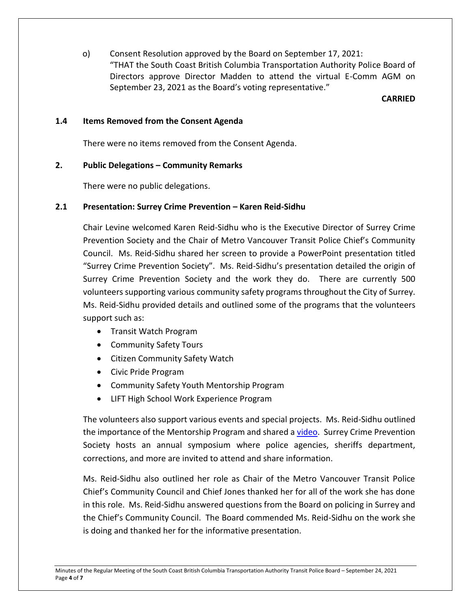o) Consent Resolution approved by the Board on September 17, 2021: "THAT the South Coast British Columbia Transportation Authority Police Board of Directors approve Director Madden to attend the virtual E-Comm AGM on September 23, 2021 as the Board's voting representative."

#### **CARRIED**

#### **1.4 Items Removed from the Consent Agenda**

There were no items removed from the Consent Agenda.

### **2. Public Delegations – Community Remarks**

There were no public delegations.

#### **2.1 Presentation: Surrey Crime Prevention – Karen Reid-Sidhu**

Chair Levine welcomed Karen Reid-Sidhu who is the Executive Director of Surrey Crime Prevention Society and the Chair of Metro Vancouver Transit Police Chief's Community Council. Ms. Reid-Sidhu shared her screen to provide a PowerPoint presentation titled "Surrey Crime Prevention Society". Ms. Reid-Sidhu's presentation detailed the origin of Surrey Crime Prevention Society and the work they do. There are currently 500 volunteers supporting various community safety programs throughout the City of Surrey. Ms. Reid-Sidhu provided details and outlined some of the programs that the volunteers support such as:

- Transit Watch Program
- Community Safety Tours
- Citizen Community Safety Watch
- Civic Pride Program
- Community Safety Youth Mentorship Program
- LIFT High School Work Experience Program

The volunteers also support various events and special projects. Ms. Reid-Sidhu outlined the importance of the Mentorship Program and shared a [video.](https://www.youtube.com/watch?v=l6M6YC7YMoE) Surrey Crime Prevention Society hosts an annual symposium where police agencies, sheriffs department, corrections, and more are invited to attend and share information.

Ms. Reid-Sidhu also outlined her role as Chair of the Metro Vancouver Transit Police Chief's Community Council and Chief Jones thanked her for all of the work she has done in this role. Ms. Reid-Sidhu answered questions from the Board on policing in Surrey and the Chief's Community Council. The Board commended Ms. Reid-Sidhu on the work she is doing and thanked her for the informative presentation.

Minutes of the Regular Meeting of the South Coast British Columbia Transportation Authority Transit Police Board – September 24, 2021 Page **4** of **7**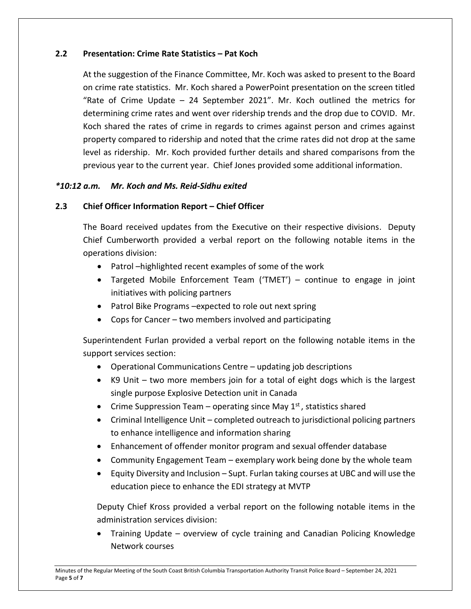### **2.2 Presentation: Crime Rate Statistics – Pat Koch**

At the suggestion of the Finance Committee, Mr. Koch was asked to present to the Board on crime rate statistics. Mr. Koch shared a PowerPoint presentation on the screen titled "Rate of Crime Update – 24 September 2021". Mr. Koch outlined the metrics for determining crime rates and went over ridership trends and the drop due to COVID. Mr. Koch shared the rates of crime in regards to crimes against person and crimes against property compared to ridership and noted that the crime rates did not drop at the same level as ridership. Mr. Koch provided further details and shared comparisons from the previous year to the current year. Chief Jones provided some additional information.

### *\*10:12 a.m. Mr. Koch and Ms. Reid-Sidhu exited*

#### **2.3 Chief Officer Information Report – Chief Officer**

The Board received updates from the Executive on their respective divisions. Deputy Chief Cumberworth provided a verbal report on the following notable items in the operations division:

- Patrol –highlighted recent examples of some of the work
- Targeted Mobile Enforcement Team ('TMET') continue to engage in joint initiatives with policing partners
- Patrol Bike Programs –expected to role out next spring
- Cops for Cancer two members involved and participating

Superintendent Furlan provided a verbal report on the following notable items in the support services section:

- Operational Communications Centre updating job descriptions
- K9 Unit two more members join for a total of eight dogs which is the largest single purpose Explosive Detection unit in Canada
- Crime Suppression Team operating since May  $1<sup>st</sup>$ , statistics shared
- Criminal Intelligence Unit completed outreach to jurisdictional policing partners to enhance intelligence and information sharing
- Enhancement of offender monitor program and sexual offender database
- Community Engagement Team exemplary work being done by the whole team
- Equity Diversity and Inclusion Supt. Furlan taking courses at UBC and will use the education piece to enhance the EDI strategy at MVTP

Deputy Chief Kross provided a verbal report on the following notable items in the administration services division:

 Training Update – overview of cycle training and Canadian Policing Knowledge Network courses

Minutes of the Regular Meeting of the South Coast British Columbia Transportation Authority Transit Police Board – September 24, 2021 Page **5** of **7**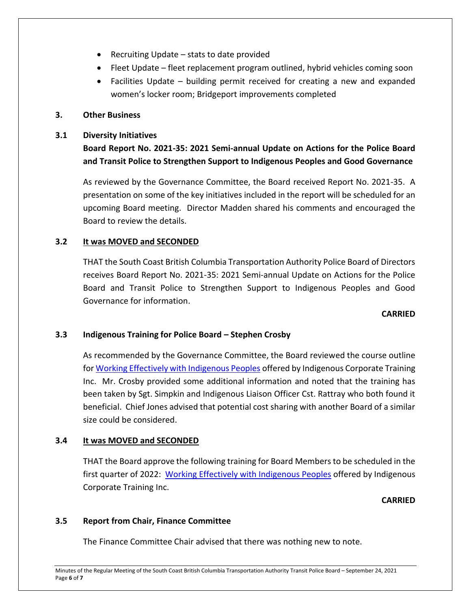- Recruiting Update stats to date provided
- Fleet Update fleet replacement program outlined, hybrid vehicles coming soon
- Facilities Update building permit received for creating a new and expanded women's locker room; Bridgeport improvements completed

### **3. Other Business**

### **3.1 Diversity Initiatives**

**Board Report No. 2021-35: 2021 Semi-annual Update on Actions for the Police Board and Transit Police to Strengthen Support to Indigenous Peoples and Good Governance**

As reviewed by the Governance Committee, the Board received Report No. 2021-35. A presentation on some of the key initiatives included in the report will be scheduled for an upcoming Board meeting. Director Madden shared his comments and encouraged the Board to review the details.

### **3.2 It was MOVED and SECONDED**

THAT the South Coast British Columbia Transportation Authority Police Board of Directors receives Board Report No. 2021-35: 2021 Semi-annual Update on Actions for the Police Board and Transit Police to Strengthen Support to Indigenous Peoples and Good Governance for information.

### **CARRIED**

## **3.3 Indigenous Training for Police Board – Stephen Crosby**

As recommended by the Governance Committee, the Board reviewed the course outline fo[r Working Effectively with Indigenous Peoples](https://www.ictinc.ca/training/working-effectively-with-indigenous-peoples) offered by Indigenous Corporate Training Inc. Mr. Crosby provided some additional information and noted that the training has been taken by Sgt. Simpkin and Indigenous Liaison Officer Cst. Rattray who both found it beneficial. Chief Jones advised that potential cost sharing with another Board of a similar size could be considered.

## **3.4 It was MOVED and SECONDED**

THAT the Board approve the following training for Board Members to be scheduled in the first quarter of 2022: [Working Effectively with Indigenous Peoples](https://www.ictinc.ca/training/working-effectively-with-indigenous-peoples) offered by Indigenous Corporate Training Inc.

### **CARRIED**

### **3.5 Report from Chair, Finance Committee**

The Finance Committee Chair advised that there was nothing new to note.

Minutes of the Regular Meeting of the South Coast British Columbia Transportation Authority Transit Police Board – September 24, 2021 Page **6** of **7**